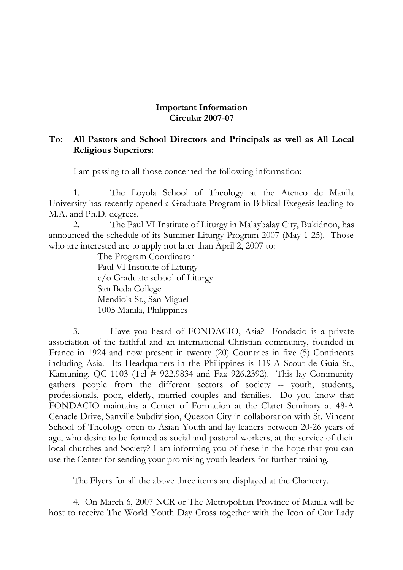## **Important Information Circular 2007-07**

## **To: All Pastors and School Directors and Principals as well as All Local Religious Superiors:**

I am passing to all those concerned the following information:

1. The Loyola School of Theology at the Ateneo de Manila University has recently opened a Graduate Program in Biblical Exegesis leading to M.A. and Ph.D. degrees.

2. The Paul VI Institute of Liturgy in Malaybalay City, Bukidnon, has announced the schedule of its Summer Liturgy Program 2007 (May 1-25). Those who are interested are to apply not later than April 2, 2007 to:

> The Program Coordinator Paul VI Institute of Liturgy c/o Graduate school of Liturgy San Beda College Mendiola St., San Miguel 1005 Manila, Philippines

3. Have you heard of FONDACIO, Asia? Fondacio is a private association of the faithful and an international Christian community, founded in France in 1924 and now present in twenty (20) Countries in five (5) Continents including Asia. Its Headquarters in the Philippines is 119-A Scout de Guia St., Kamuning, QC 1103 (Tel # 922.9834 and Fax 926.2392). This lay Community gathers people from the different sectors of society -- youth, students, professionals, poor, elderly, married couples and families. Do you know that FONDACIO maintains a Center of Formation at the Claret Seminary at 48-A Cenacle Drive, Sanville Subdivision, Quezon City in collaboration with St. Vincent School of Theology open to Asian Youth and lay leaders between 20-26 years of age, who desire to be formed as social and pastoral workers, at the service of their local churches and Society? I am informing you of these in the hope that you can use the Center for sending your promising youth leaders for further training.

The Flyers for all the above three items are displayed at the Chancery.

4. On March 6, 2007 NCR or The Metropolitan Province of Manila will be host to receive The World Youth Day Cross together with the Icon of Our Lady